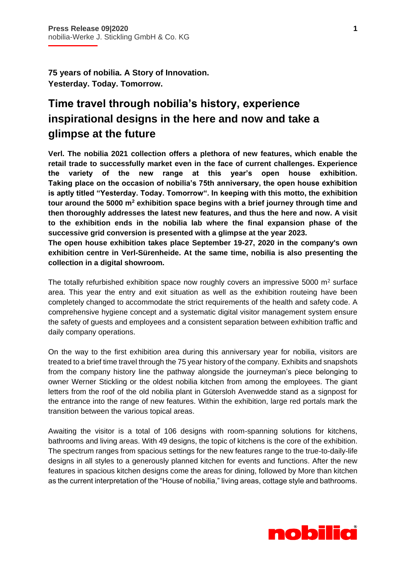İ

**75 years of nobilia. A Story of Innovation. Yesterday. Today. Tomorrow.**

## **Time travel through nobilia's history, experience inspirational designs in the here and now and take a glimpse at the future**

**Verl. The nobilia 2021 collection offers a plethora of new features, which enable the retail trade to successfully market even in the face of current challenges. Experience the variety of the new range at this year's open house exhibition. Taking place on the occasion of nobilia's 75th anniversary, the open house exhibition is aptly titled "Yesterday. Today. Tomorrow". In keeping with this motto, the exhibition tour around the 5000 m<sup>2</sup> exhibition space begins with a brief journey through time and then thoroughly addresses the latest new features, and thus the here and now. A visit to the exhibition ends in the nobilia lab where the final expansion phase of the successive grid conversion is presented with a glimpse at the year 2023.** 

**The open house exhibition takes place September 19-27, 2020 in the company's own exhibition centre in Verl-Sürenheide. At the same time, nobilia is also presenting the collection in a digital showroom.** 

The totally refurbished exhibition space now roughly covers an impressive 5000  $m<sup>2</sup>$  surface area. This year the entry and exit situation as well as the exhibition routeing have been completely changed to accommodate the strict requirements of the health and safety code. A comprehensive hygiene concept and a systematic digital visitor management system ensure the safety of guests and employees and a consistent separation between exhibition traffic and daily company operations.

On the way to the first exhibition area during this anniversary year for nobilia, visitors are treated to a brief time travel through the 75 year history of the company. Exhibits and snapshots from the company history line the pathway alongside the journeyman's piece belonging to owner Werner Stickling or the oldest nobilia kitchen from among the employees. The giant letters from the roof of the old nobilia plant in Gütersloh Avenwedde stand as a signpost for the entrance into the range of new features. Within the exhibition, large red portals mark the transition between the various topical areas.

Awaiting the visitor is a total of 106 designs with room-spanning solutions for kitchens, bathrooms and living areas. With 49 designs, the topic of kitchens is the core of the exhibition. The spectrum ranges from spacious settings for the new features range to the true-to-daily-life designs in all styles to a generously planned kitchen for events and functions. After the new features in spacious kitchen designs come the areas for dining, followed by More than kitchen as the current interpretation of the "House of nobilia," living areas, cottage style and bathrooms.

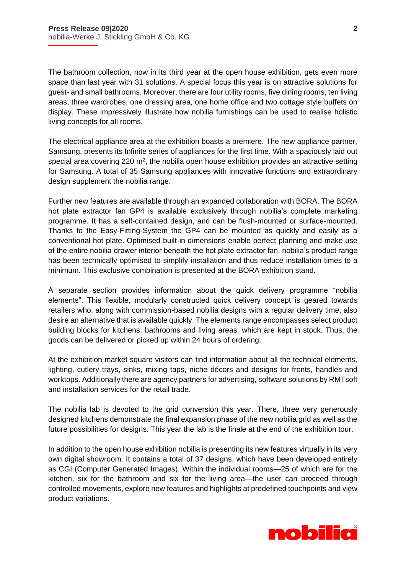İ

The bathroom collection, now in its third year at the open house exhibition, gets even more space than last year with 31 solutions. A special focus this year is on attractive solutions for guest- and small bathrooms. Moreover, there are four utility rooms, five dining rooms, ten living areas, three wardrobes, one dressing area, one home office and two cottage style buffets on display. These impressively illustrate how nobilia furnishings can be used to realise holistic living concepts for all rooms.

The electrical appliance area at the exhibition boasts a premiere. The new appliance partner, Samsung, presents its Infinite series of appliances for the first time. With a spaciously laid out special area covering 220  $m^2$ , the nobilia open house exhibition provides an attractive setting for Samsung. A total of 35 Samsung appliances with innovative functions and extraordinary design supplement the nobilia range.

Further new features are available through an expanded collaboration with BORA. The BORA hot plate extractor fan GP4 is available exclusively through nobilia's complete marketing programme. It has a self-contained design, and can be flush-mounted or surface-mounted. Thanks to the Easy-Fitting-System the GP4 can be mounted as quickly and easily as a conventional hot plate. Optimised built-in dimensions enable perfect planning and make use of the entire nobilia drawer interior beneath the hot plate extractor fan. nobilia's product range has been technically optimised to simplify installation and thus reduce installation times to a minimum. This exclusive combination is presented at the BORA exhibition stand.

A separate section provides information about the quick delivery programme "nobilia elements". This flexible, modularly constructed quick delivery concept is geared towards retailers who, along with commission-based nobilia designs with a regular delivery time, also desire an alternative that is available quickly. The elements range encompasses select product building blocks for kitchens, bathrooms and living areas, which are kept in stock. Thus, the goods can be delivered or picked up within 24 hours of ordering.

At the exhibition market square visitors can find information about all the technical elements, lighting, cutlery trays, sinks, mixing taps, niche décors and designs for fronts, handles and worktops. Additionally there are agency partners for advertising, software solutions by RMTsoft and installation services for the retail trade.

The nobilia lab is devoted to the grid conversion this year. There, three very generously designed kitchens demonstrate the final expansion phase of the new nobilia grid as well as the future possibilities for designs. This year the lab is the finale at the end of the exhibition tour.

In addition to the open house exhibition nobilia is presenting its new features virtually in its very own digital showroom. It contains a total of 37 designs, which have been developed entirely as CGI (Computer Generated Images). Within the individual rooms—25 of which are for the kitchen, six for the bathroom and six for the living area—the user can proceed through controlled movements, explore new features and highlights at predefined touchpoints and view product variations.